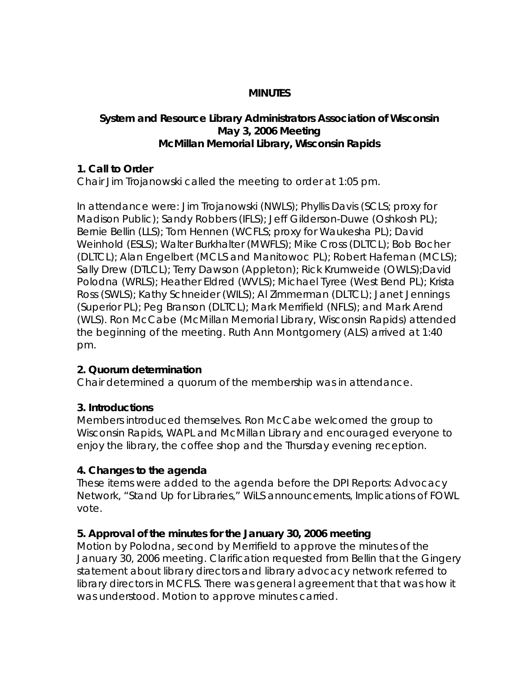### **MINUTES**

#### **System and Resource Library Administrators Association of Wisconsin May 3, 2006 Meeting McMillan Memorial Library, Wisconsin Rapids**

#### **1. Call to Order**

Chair Jim Trojanowski called the meeting to order at 1:05 pm.

In attendance were: Jim Trojanowski (NWLS); Phyllis Davis (SCLS; proxy for Madison Public); Sandy Robbers (IFLS); Jeff Gilderson-Duwe (Oshkosh PL); Bernie Bellin (LLS); Tom Hennen (WCFLS; proxy for Waukesha PL); David Weinhold (ESLS); Walter Burkhalter (MWFLS); Mike Cross (DLTCL); Bob Bocher (DLTCL); Alan Engelbert (MCLS and Manitowoc PL); Robert Hafeman (MCLS); Sally Drew (DTLCL); Terry Dawson (Appleton); Rick Krumweide (OWLS);David Polodna (WRLS); Heather Eldred (WVLS); Michael Tyree (West Bend PL); Krista Ross (SWLS); Kathy Schneider (WILS); Al Zimmerman (DLTCL); Janet Jennings (Superior PL); Peg Branson (DLTCL); Mark Merrifield (NFLS); and Mark Arend (WLS). Ron McCabe (McMillan Memorial Library, Wisconsin Rapids) attended the beginning of the meeting. Ruth Ann Montgomery (ALS) arrived at 1:40 pm.

### **2. Quorum determination**

Chair determined a quorum of the membership was in attendance.

### **3. Introductions**

Members introduced themselves. Ron McCabe welcomed the group to Wisconsin Rapids, WAPL and McMillan Library and encouraged everyone to enjoy the library, the coffee shop and the Thursday evening reception.

### **4. Changes to the agenda**

These items were added to the agenda before the DPI Reports: Advocacy Network, "Stand Up for Libraries," WiLS announcements, Implications of FOWL vote.

### **5. Approval of the minutes for the January 30, 2006 meeting**

Motion by Polodna, second by Merrifield to approve the minutes of the January 30, 2006 meeting. Clarification requested from Bellin that the Gingery statement about library directors and library advocacy network referred to library directors in MCFLS. There was general agreement that that was how it was understood. Motion to approve minutes carried.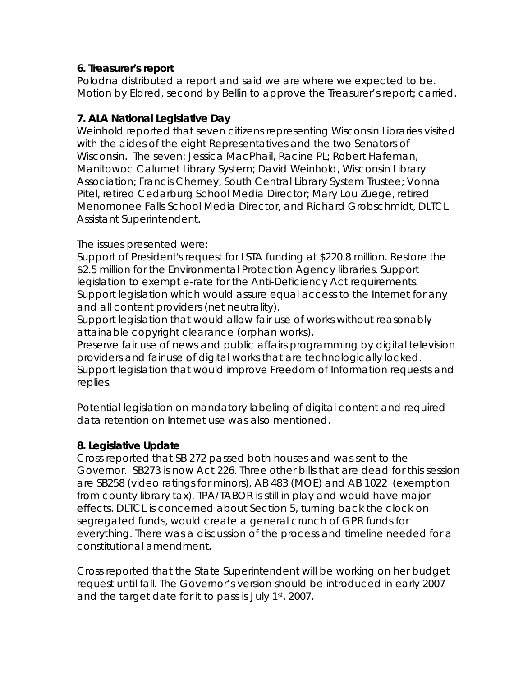### **6. Treasurer's report**

Polodna distributed a report and said we are where we expected to be. Motion by Eldred, second by Bellin to approve the Treasurer's report; carried.

### **7. ALA National Legislative Day**

Weinhold reported that seven citizens representing Wisconsin Libraries visited with the aides of the eight Representatives and the two Senators of Wisconsin. The seven: Jessica MacPhail, Racine PL; Robert Hafeman, Manitowoc Calumet Library System; David Weinhold, Wisconsin Library Association; Francis Cherney, South Central Library System Trustee; Vonna Pitel, retired Cedarburg School Media Director; Mary Lou Zuege, retired Menomonee Falls School Media Director, and Richard Grobschmidt, DLTCL Assistant Superintendent.

### The issues presented were:

Support of President's request for LSTA funding at \$220.8 million. Restore the \$2.5 million for the Environmental Protection Agency libraries. Support legislation to exempt e-rate for the Anti-Deficiency Act requirements. Support legislation which would assure equal access to the Internet for any and all content providers (net neutrality).

Support legislation that would allow fair use of works without reasonably attainable copyright clearance (orphan works).

Preserve fair use of news and public affairs programming by digital television providers and fair use of digital works that are technologically locked. Support legislation that would improve Freedom of Information requests and replies.

Potential legislation on mandatory labeling of digital content and required data retention on Internet use was also mentioned.

### **8. Legislative Update**

Cross reported that SB 272 passed both houses and was sent to the Governor. SB273 is now Act 226. Three other bills that are dead for this session are SB258 (video ratings for minors), AB 483 (MOE) and AB 1022 (exemption from county library tax). TPA/TABOR is still in play and would have major effects. DLTCL is concerned about Section 5, turning back the clock on segregated funds, would create a general crunch of GPR funds for everything. There was a discussion of the process and timeline needed for a constitutional amendment.

Cross reported that the State Superintendent will be working on her budget request until fall. The Governor's version should be introduced in early 2007 and the target date for it to pass is July 1st, 2007.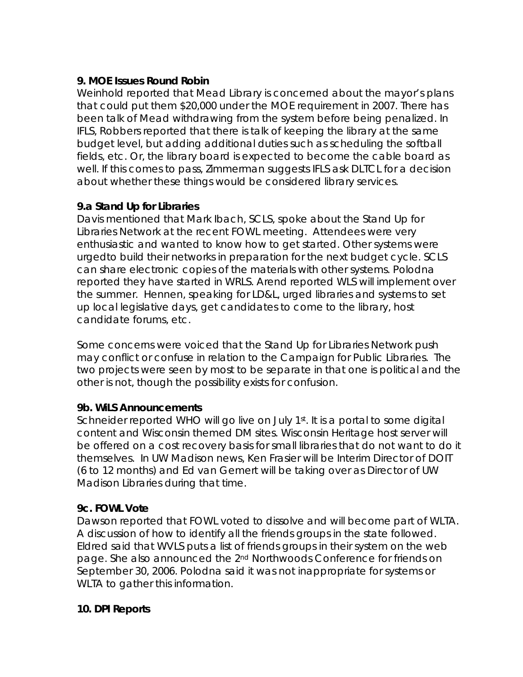## **9. MOE Issues Round Robin**

Weinhold reported that Mead Library is concerned about the mayor's plans that could put them \$20,000 under the MOE requirement in 2007. There has been talk of Mead withdrawing from the system before being penalized. In IFLS, Robbers reported that there is talk of keeping the library at the same budget level, but adding additional duties such as scheduling the softball fields, etc. Or, the library board is expected to become the cable board as well. If this comes to pass, Zimmerman suggests IFLS ask DLTCL for a decision about whether these things would be considered library services.

# **9.a Stand Up for Libraries**

Davis mentioned that Mark Ibach, SCLS, spoke about the Stand Up for Libraries Network at the recent FOWL meeting. Attendees were very enthusiastic and wanted to know how to get started. Other systems were urgedto build their networks in preparation for the next budget cycle. SCLS can share electronic copies of the materials with other systems. Polodna reported they have started in WRLS. Arend reported WLS will implement over the summer. Hennen, speaking for LD&L, urged libraries and systems to set up local legislative days, get candidates to come to the library, host candidate forums, etc.

Some concerns were voiced that the Stand Up for Libraries Network push may conflict or confuse in relation to the Campaign for Public Libraries. The two projects were seen by most to be separate in that one is political and the other is not, though the possibility exists for confusion.

## **9b. WiLS Announcements**

Schneider reported WHO will go live on July 1<sup>st</sup>. It is a portal to some digital content and Wisconsin themed DM sites. Wisconsin Heritage host server will be offered on a cost recovery basis for small libraries that do not want to do it themselves. In UW Madison news, Ken Frasier will be Interim Director of DOIT (6 to 12 months) and Ed van Gemert will be taking over as Director of UW Madison Libraries during that time.

## **9c. FOWL Vote**

Dawson reported that FOWL voted to dissolve and will become part of WLTA. A discussion of how to identify all the friends groups in the state followed. Eldred said that WVLS puts a list of friends groups in their system on the web page. She also announced the 2<sup>nd</sup> Northwoods Conference for friends on September 30, 2006. Polodna said it was not inappropriate for systems or WLTA to gather this information.

## **10. DPI Reports**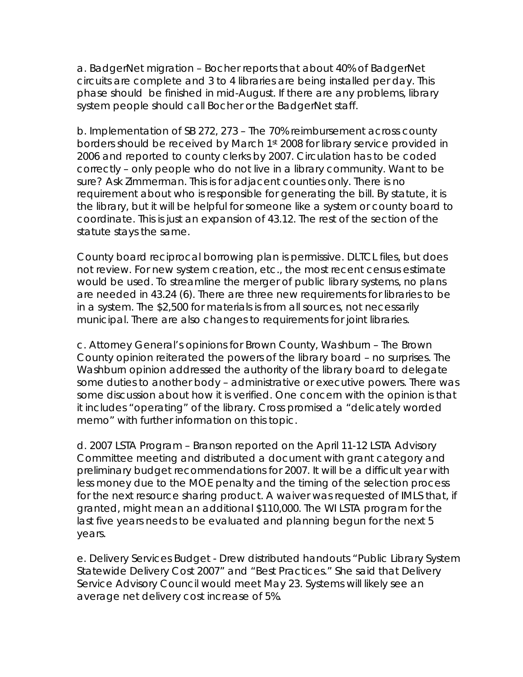a. BadgerNet migration – Bocher reports that about 40% of BadgerNet circuits are complete and 3 to 4 libraries are being installed per day. This phase should be finished in mid-August. If there are any problems, library system people should call Bocher or the BadgerNet staff.

b. Implementation of SB 272, 273 – The 70% reimbursement across county borders should be received by March 1st 2008 for library service provided in 2006 and reported to county clerks by 2007. Circulation has to be coded correctly – only people who do not live in a library community. Want to be sure? Ask Zimmerman. This is for adjacent counties only. There is no requirement about who is responsible for generating the bill. By statute, it is the library, but it will be helpful for someone like a system or county board to coordinate. This is just an expansion of 43.12. The rest of the section of the statute stays the same.

County board reciprocal borrowing plan is permissive. DLTCL files, but does not review. For new system creation, etc., the most recent census estimate would be used. To streamline the merger of public library systems, no plans are needed in 43.24 (6). There are three new requirements for libraries to be in a system. The \$2,500 for materials is from all sources, not necessarily municipal. There are also changes to requirements for joint libraries.

c. Attorney General's opinions for Brown County, Washburn – The Brown County opinion reiterated the powers of the library board – no surprises. The Washburn opinion addressed the authority of the library board to delegate some duties to another body – administrative or executive powers. There was some discussion about how it is verified. One concern with the opinion is that it includes "operating" of the library. Cross promised a "delicately worded memo" with further information on this topic.

d. 2007 LSTA Program – Branson reported on the April 11-12 LSTA Advisory Committee meeting and distributed a document with grant category and preliminary budget recommendations for 2007. It will be a difficult year with less money due to the MOE penalty and the timing of the selection process for the next resource sharing product. A waiver was requested of IMLS that, if granted, might mean an additional \$110,000. The WI LSTA program for the last five years needs to be evaluated and planning begun for the next 5 years.

e. Delivery Services Budget - Drew distributed handouts "Public Library System Statewide Delivery Cost 2007" and "Best Practices." She said that Delivery Service Advisory Council would meet May 23. Systems will likely see an average net delivery cost increase of 5%.